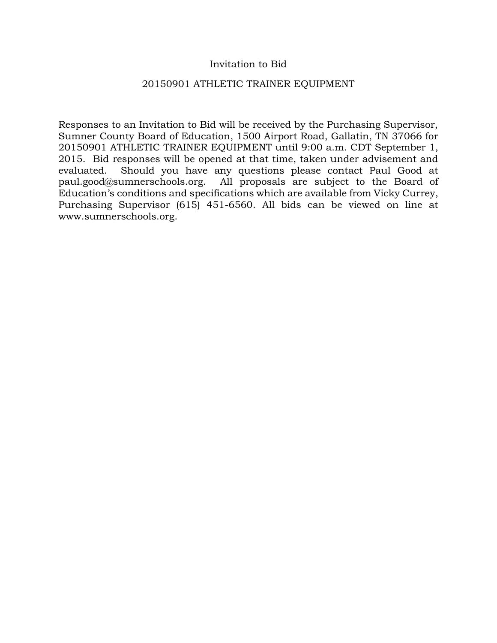## Invitation to Bid

### 20150901 ATHLETIC TRAINER EQUIPMENT

Responses to an Invitation to Bid will be received by the Purchasing Supervisor, Sumner County Board of Education, 1500 Airport Road, Gallatin, TN 37066 for 20150901 ATHLETIC TRAINER EQUIPMENT until 9:00 a.m. CDT September 1, 2015. Bid responses will be opened at that time, taken under advisement and evaluated. Should you have any questions please contact Paul Good at paul.good@sumnerschools.org. All proposals are subject to the Board of Education's conditions and specifications which are available from Vicky Currey, Purchasing Supervisor (615) 451-6560. All bids can be viewed on line at www.sumnerschools.org.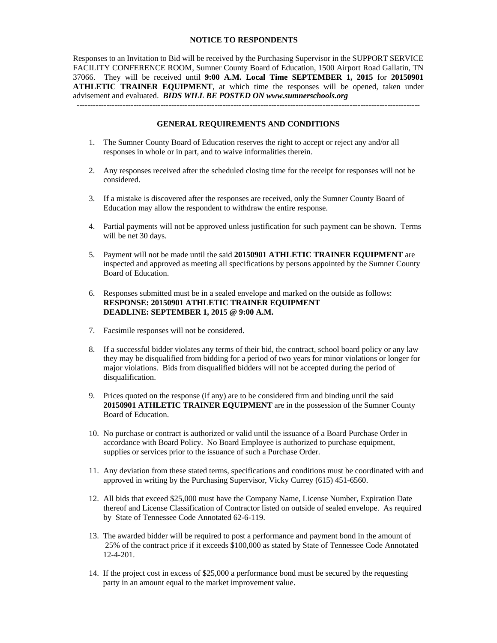#### **NOTICE TO RESPONDENTS**

Responses to an Invitation to Bid will be received by the Purchasing Supervisor in the SUPPORT SERVICE FACILITY CONFERENCE ROOM, Sumner County Board of Education, 1500 Airport Road Gallatin, TN 37066. They will be received until **9:00 A.M. Local Time SEPTEMBER 1, 2015** for **20150901 ATHLETIC TRAINER EQUIPMENT**, at which time the responses will be opened, taken under advisement and evaluated. *BIDS WILL BE POSTED ON www.sumnerschools.org* 

#### **GENERAL REQUIREMENTS AND CONDITIONS**

-------------------------------------------------------------------------------------------------------------------------------

- 1. The Sumner County Board of Education reserves the right to accept or reject any and/or all responses in whole or in part, and to waive informalities therein.
- 2. Any responses received after the scheduled closing time for the receipt for responses will not be considered.
- 3. If a mistake is discovered after the responses are received, only the Sumner County Board of Education may allow the respondent to withdraw the entire response.
- 4. Partial payments will not be approved unless justification for such payment can be shown. Terms will be net 30 days.
- 5. Payment will not be made until the said **20150901 ATHLETIC TRAINER EQUIPMENT** are inspected and approved as meeting all specifications by persons appointed by the Sumner County Board of Education.
- 6. Responses submitted must be in a sealed envelope and marked on the outside as follows: **RESPONSE: 20150901 ATHLETIC TRAINER EQUIPMENT DEADLINE: SEPTEMBER 1, 2015 @ 9:00 A.M.**
- 7. Facsimile responses will not be considered.
- 8. If a successful bidder violates any terms of their bid, the contract, school board policy or any law they may be disqualified from bidding for a period of two years for minor violations or longer for major violations. Bids from disqualified bidders will not be accepted during the period of disqualification.
- 9. Prices quoted on the response (if any) are to be considered firm and binding until the said **20150901 ATHLETIC TRAINER EQUIPMENT** are in the possession of the Sumner County Board of Education.
- 10. No purchase or contract is authorized or valid until the issuance of a Board Purchase Order in accordance with Board Policy. No Board Employee is authorized to purchase equipment, supplies or services prior to the issuance of such a Purchase Order.
- 11. Any deviation from these stated terms, specifications and conditions must be coordinated with and approved in writing by the Purchasing Supervisor, Vicky Currey (615) 451-6560.
- 12. All bids that exceed \$25,000 must have the Company Name, License Number, Expiration Date thereof and License Classification of Contractor listed on outside of sealed envelope. As required by State of Tennessee Code Annotated 62-6-119.
- 13. The awarded bidder will be required to post a performance and payment bond in the amount of 25% of the contract price if it exceeds \$100,000 as stated by State of Tennessee Code Annotated 12-4-201.
- 14. If the project cost in excess of \$25,000 a performance bond must be secured by the requesting party in an amount equal to the market improvement value.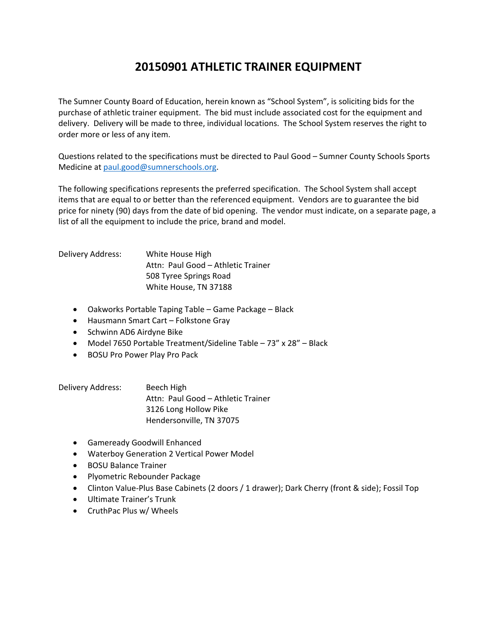# **20150901 ATHLETIC TRAINER EQUIPMENT**

The Sumner County Board of Education, herein known as "School System", is soliciting bids for the purchase of athletic trainer equipment. The bid must include associated cost for the equipment and delivery. Delivery will be made to three, individual locations. The School System reserves the right to order more or less of any item.

Questions related to the specifications must be directed to Paul Good – Sumner County Schools Sports Medicine at paul.good@sumnerschools.org.

The following specifications represents the preferred specification. The School System shall accept items that are equal to or better than the referenced equipment. Vendors are to guarantee the bid price for ninety (90) days from the date of bid opening. The vendor must indicate, on a separate page, a list of all the equipment to include the price, brand and model.

Delivery Address: White House High Attn: Paul Good – Athletic Trainer 508 Tyree Springs Road White House, TN 37188

- Oakworks Portable Taping Table Game Package Black
- Hausmann Smart Cart Folkstone Gray
- Schwinn AD6 Airdyne Bike
- Model 7650 Portable Treatment/Sideline Table 73" x 28" Black
- **BOSU Pro Power Play Pro Pack**

Delivery Address: Beech High Attn: Paul Good – Athletic Trainer 3126 Long Hollow Pike Hendersonville, TN 37075

- Gameready Goodwill Enhanced
- Waterboy Generation 2 Vertical Power Model
- BOSU Balance Trainer
- Plyometric Rebounder Package
- Clinton Value-Plus Base Cabinets (2 doors / 1 drawer); Dark Cherry (front & side); Fossil Top
- Ultimate Trainer's Trunk
- CruthPac Plus w/ Wheels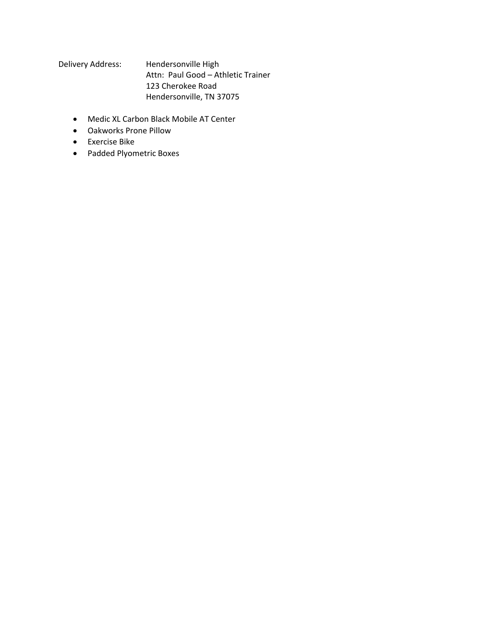Delivery Address: Hendersonville High Attn: Paul Good – Athletic Trainer 123 Cherokee Road Hendersonville, TN 37075

- Medic XL Carbon Black Mobile AT Center
- Oakworks Prone Pillow
- Exercise Bike
- Padded Plyometric Boxes